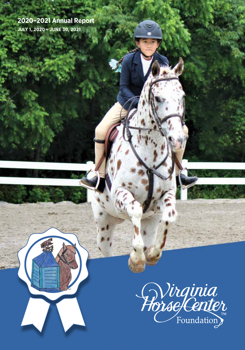# **2020–2021 Annual Report**

**JULY 1, 2020 – JUNE 30, 2021**

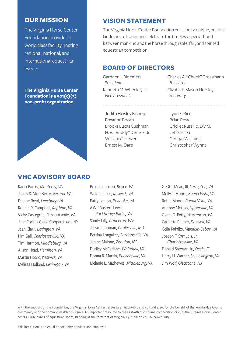#### **OUR MISSION**

The Virginia Horse Center Foundation provides a world class facility hosting regional, national, and international equestrian events.

**The Virginia Horse Center Foundation is a 501(c)(3) non-profit organization.**



#### **VISION STATEMENT**

The Virginia Horse Center Foundation envisions a unique, bucolic landmark to honor and celebrate the timeless, special bond between mankind and the horse through safe, fair, and spirited equestrian competition.

#### **BOARD OF DIRECTORS**

Gardner L. Bloemers *President* Kenneth M. Wheeler, Jr. *Vice President*

Judith Heisley Bishop Roxanne Booth Brooks Lucas Cushman H. E. "Buddy" Derrick, Jr. William C. Heizer Ernest M. Oare

Charles A. "Chuck" Grossmann *Treasurer* Elizabeth Mason Horsley *Secretary*

Lynn E. Rice Brian Ross Cricket Russillo, D.V.M. Jeff Sterba George Williams Christopher Wynne

#### **VHC ADVISORY BOARD**

Karin Banks, Monterey, VA Jason & Alisa Berry, *Verona, VA* Dianne Boyd, *Leesburg, VA* Ronnie R. Campbell, *Raphine, VA* Vicky Castegren, *Barboursville, VA* Jane Forbes Clark, Cooperstown, NY Jean Clark, *Lexington, VA* Kim Gall, *Charlottesville, VA* Tim Harmon, *Middleburg, VA* Alison Head, *Hamilton, VA* Martin Hoard, K*eswick, VA* Melissa Holland, *Lexington, VA*

Bruce Johnson, *Boyce, VA* Walter J. Lee, *Keswick, VA* Patty Lemon, *Roanoke, VA* A.W. "Buster" Lewis, *Rockbridge Baths, VA* Sandy Lilly, *Princeton, WV* Jessica Lohman, *Poolesville, MD* Bettina Longaker, *Gordonsville, VA* Janine Malone, *Zebulon, NC* Dudley McFarlane, *Whitehall, VA* Donna R. Martin, *Ruckersville, VA* Melanie L. Mathewes, *Middleburg, VA* G. Otis Mead, III, *Lexington, VA* Molly T. Moore, *Buena Vista, VA* Robin Moore, *Buena Vista, VA* Andrew Motion, *Upperville, VA* Glenn D. Petty, *Warrenton, VA* Cathette Plumer, *Doswell, VA* Celia Rafalko, *Manakin-Sabot, VA* Joseph T. Samuels, Jr., *Charlottesville, VA* Donald Stewart, Jr., *Ocala, FL* Harry H. Warner, Sr., *Lexington, VA* Jim Wolf, *Gladstone, NJ*

With the support of the Foundation, the Virginia Horse Center serves as an economic and cultural asset for the benefit of the Rockbridge County community and the Commonwealth of Virginia. An important resource to the East-Atlantic equine competition circuit, the Virginia Horse Center hosts all disciplines of equestrian sport, standing at the forefront of Virginia's \$1.2 billion equine community.

This institution is an equal opportunity provider and employer.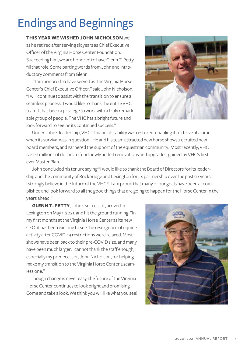# **Endings and Beginnings**

**THIS YEAR WE WISHED JOHN NICHOLSON** well as he retired after serving six years as Chief Executive Officer of the Virginia Horse Center Foundation. Succeeding him, we are honored to have Glenn T. Petty fill that role. Some parting words from John and introductory comments from Glenn:

 "I am honored to have served as The Virginia Horse Center's Chief Executive Officer," said John Nicholson. "I will continue to assist with the transition to ensure a seamless process. I would like to thank the entire VHC team. It has been a privilege to work with a truly remarkable group of people. The VHC has a bright future and I look forward to seeing its continued success."



Under John's leadership, VHC's financial stability was restored, enabling it to thrive at a time when its survival was in question. He and his team attracted new horse shows, recruited new board members, and garnered the support of the equestrian community. Most recently, VHC raised millions of dollars to fund newly added renovations and upgrades, guided by VHC's firstever Master Plan.

John concluded his tenure saying "I would like to thank the Board of Directors for its leadership and the community of Rockbridge and Lexington for its partnership over the past six years. I strongly believe in the future of the VHCF. I am proud that many of our goals have been accomplished and look forward to all the good things that are going to happen for the Horse Center in the years ahead."

**GLENN T. PETTY**, John's successor, arrived in Lexington on May 1, 2021, and hit the ground running. "In my first months at the Virginia Horse Center as its new CEO, it has been exciting to see the resurgence of equine activity after COVID-19 restrictions were relaxed. Most shows have been back to their pre-COVID size, and many have been much larger. I cannot thank the staff enough, especially my predecessor, John Nicholson, for helping make my transition to the Virginia Horse Center a seamless one."

Though change is never easy, the future of the Virginia Horse Center continues to look bright and promising. Come and take a look. We think you will like what you see!

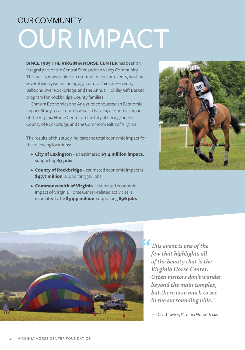# OURIMPACT OUR COMMUNITY

**SINCE 1985 THE VIRGINIA HORSE CENTER** has been an integral part of the Central Shenandoah Valley Community. The facility is available for community-centric events, hosting several each year including agricultural fairs, 4-H events, Balloons Over Rockbridge, and the Annual Holiday Gift Basket program for Rockbridge County families.

Chmura Economics and Analytics conducted an Economic Impact Study to accurately assess the 2019 economic impact of the Virginia Horse Center on the City of Lexington, the County of Rockbridge, and the Commonwealth of Virginia.

The results of this study indicate the total economic impact for the following locations:

- **City of Lexington** an estimated **\$7.4 million impact,** supporting **67 jobs**
- **County of Rockbridge** estimated economic impact is **\$47.7 million**, supporting 518 jobs
- **• Commonwealth of Virginia** estimated economic impact of Virginia Horse Center-related activities is estimated to be **\$94.9 million**, supporting **896 jobs**





*This event is one of the few that highlights all of the beauty that is the Virginia Horse Center. Often visitors don't wander beyond the main complex, but there is so much to see in the surrounding hills."* 

— David Taylor, *Virginia Horse Trials*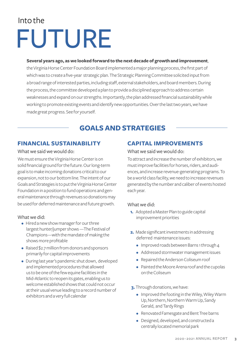# Into the FUTURE

#### **Several years ago, as we looked forward to the next decade of growthand improvement**,

the Virginia Horse Center Foundation Board implemented a major planning process, the first part of which was to create a five-year strategic plan. The Strategic Planning Committee solicited input from a broad range of interested parties, including staff, external stakeholders, and board members. During the process, the committee developed a plan to provide a disciplined approach to address certain weaknesses and expand on our strengths. Importantly, the plan addressed financial sustainability while working to promote existing events and identify new opportunities. Over the last two years, we have made great progress. See for yourself.

### **GOALS AND STRATEGIES**

#### **FINANCIAL SUSTAINABILITY**

#### What we said we would do:

We must ensure the Virginia Horse Center is on solid financial ground for the future. Our long-term goal is to make incoming donations critical to our expansion, not to our bottom line. The intent of our Goals and Strategies is to put the Virginia Horse Center Foundation in a position to fund operations and general maintenance through revenues so donations may be used for deferred maintenance and future growth.

#### What we did:

- Hired a new show manager for our three largest hunter/jumper shows —The Festival of Champions—with the mandate of making the shows more profitable
- Raised \$2.7 million from donors and sponsors primarily for capital improvements
- During last year's pandemic shut down, developed and implemented procedures that allowed us to be one of the few equine facilities in the Mid-Atlantic to reopen its gates, enabling us to welcome established shows that could not occur at their usual venue leading to a record number of exhibitors and a very full calendar

#### **CAPITAL IMPROVEMENTS**

#### What we said we would do:

To attract and increase the number of exhibitors, we must improve facilities for horses, riders, and audiences, and increase revenue-generating programs. To be a world class facility, we need to increase revenues generated by the number and caliber of events hosted each year.

#### What we did:

- **1.** Adopted a Master Plan to guide capital improvement priorities
- **2.** Made significant investments in addressing deferred maintenance issues:
	- Improved roads between Barns 1 through 4
	- Addressed stormwater management issues
	- Repaired the Anderson Coliseum roof
	- Painted the Moore Arena roof and the cupolas on the Coliseum
- **3.**Through donations, we have:
	- Improved the footing in the Wiley, Wiley Warm Up, Northern, Northern Warm Up, Sandy Gerald, and Tardy Rings
	- Renovated Famesgate and Bent Tree barns
	- Designed, developed, and constructed a centrally located memorial park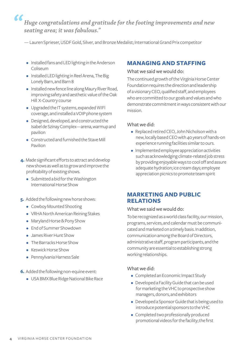$\epsilon$ *Huge congratulations and gratitude for the footing improvements and new seating area; it was fabulous."* 

— Lauren Sprieser, USDF Gold, Silver, and Bronze Medalist; International Grand Prix competitor

- Installed fans and LED lighting in the Anderson Coliseum
- Installed LED lighting in Reel Arena, The Big Lonely Barn, and Barn 8
- Installed new fence line along Maury River Road, improving safety and aesthetic value of the Oak Hill X-Country course
- Upgraded the IT systems, expanded WIFI coverage, and installed a VOIP phone system
- Designed, developed, and constructed the Isabel de Szinay Complex—arena, warmup and pavilion
- Constructed and furnished the Stave Mill Pavilion
- **4.** Made significant efforts to attract and develop new shows as well as to grow and improve the profitability of existing shows.
	- Submitted a bid for the Washington International Horse Show
- **5.** Added the following new horse shows:
	- Cowboy Mounted Shooting
	- VRHA North American Reining Stakes
	- Maryland Horse & Pony Show
	- End of Summer Showdown
	- James River Hunt Show
	- The Barracks Horse Show
	- Keswick Horse Show
	- Pennsylvania Harness Sale
- **6.** Added the following non-equine event:
	- USA BMX Blue Ridge National Bike Race

#### **MANAGING AND STAFFING**

#### What we said we would do:

The continued growth of the Virginia Horse Center Foundation requires the direction and leadership of a visionary CEO, qualified staff, and employees who are committed to our goals and values and who demonstrate commitment in ways consistent with our mission.

#### What we did:

- Replaced retired CEO, John Nicholson with a new, locally based CEO with 40 years of hands-on experience running facilities similar to ours.
- Implemented employee appreciation activities such as acknowledging climate-related job stress by providing enjoyable ways to cool off and assure adequate hydration; ice cream days; employee appreciation picnics to promote team spirit

#### **MARKETING AND PUBLIC RELATIONS**

#### What we said we would do:

To be recognized as a world class facility, our mission, programs, services, and calendar must be communicated and marketed on a timely basis. In addition, communication among the Board of Directors, administrative staff, program participants, and the community are essential to establishing strong working relationships.

#### What we did:

- Completed an Economic Impact Study
- Developed a Facility Guide that can be used for marketing the VHC to prospective show managers, donors, and exhibitors
- Developed a Sponsor Guide that is being used to introduce potential sponsors to the VHC
- Completed two professionally produced promotional videos for the facility; the first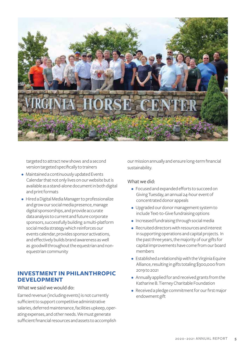

targeted to attract new shows and a second version targeted specifically to trainers

- Maintained a continuously updated Events Calendar that not only lives on our website but is available as a stand-alone document in both digital and print formats
- Hired a Digital Media Manager to professionalize and grow our social media presence, manage digital sponsorships, and provide accurate data analysis to current and future corporate sponsors, successfully building a multi-platform social media strategy which reinforces our events calendar, provides sponsor activations, and effectively builds brand awareness as well as goodwill throughout the equestrian and nonequestrian community

#### **INVESTMENT IN PHILANTHROPIC DEVELOPMENT**

#### What we said we would do:

Earned revenue (including events) is not currently sufficient to support competitive administrative salaries, deferred maintenance, facilities upkeep, operating expenses, and other needs. We must generate sufficient financial resources and assets to accomplish our mission annually and ensure long-term financial sustainability.

#### What we did:

- Focused and expanded efforts to succeed on Giving Tuesday, an annual 24-hour event of concentrated donor appeals
- Upgraded our donor management system to include Text-to-Give fundraising options
- Increased fundraising through social media
- Recruited directors with resources and interest in supporting operations and capital projects. In the past three years, the majority of our gifts for capital improvements have come from our board members
- Established a relationship with the Virginia Equine Alliance, resulting in gifts totaling \$300,000 from 2019 to 2021
- Annually applied for and received grants from the Katharine B. Tierney Charitable Foundation
- Received a pledge commitment for our first major endowment gift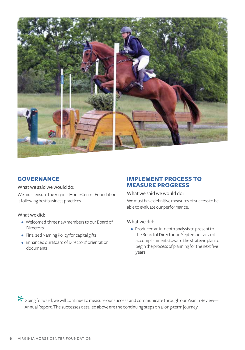

#### **GOVERNANCE**

What we said we would do:

We must ensure the Virginia Horse Center Foundation is following best business practices.

#### What we did:

- Welcomed three new members to our Board of **Directors**
- Finalized Naming Policy for capital gifts
- Enhanced our Board of Directors' orientation documents

#### **IMPLEMENT PROCESS TO MEASURE PROGRESS**

What we said we would do:

We must have definitive measures of success to be able to evaluate our performance.

#### What we did:

• Produced an in-depth analysis to present to the Board of Directors in September 2021 of accomplishments toward the strategic plan to begin the process of planning for the next five years

Going forward, we will continue to measure our success and communicate through our Year in Review— Annual Report. The successes detailed above are the continuing steps on a long-term journey. \*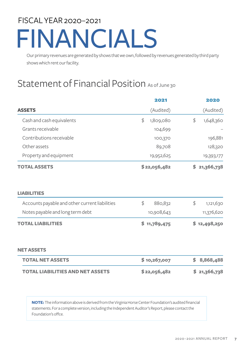# FISCAL YEAR 2020–2021 FINANCIALS

Our primary revenues are generated by shows that we own, followed by revenues generated by third party shows which rent our facility.

# Statement of Financial Position As of June 30

| <b>ASSETS</b>                                  | 2021<br>(Audited) | 2020<br>(Audited) |
|------------------------------------------------|-------------------|-------------------|
|                                                |                   |                   |
| Grants receivable                              | 104,699           |                   |
| Contributions receivable                       | 100,370           | 196,881           |
| Other assets                                   | 89,708            | 128,320           |
| Property and equipment                         | 19,952,625        | 19,393,177        |
| <b>TOTAL ASSETS</b>                            | \$22,056,482      | S.<br>21,366,738  |
| <b>LIABILITIES</b>                             |                   |                   |
| Accounts payable and other current liabilities | \$<br>880,832     | \$<br>1,121,630   |
| Notes payable and long term debt               | 10,908,643        | 11,376,620        |
| <b>TOTAL LIABILITIES</b>                       | \$<br>11,789,475  | \$12,498,250      |
| <b>NET ASSETS</b>                              |                   |                   |
| <b>TOTAL NET ASSETS</b>                        | \$10,267,007      | 8,868,488<br>\$   |
| <b>TOTAL LIABILITIES AND NET ASSETS</b>        | \$22,056,482      | \$<br>21,366,738  |

**NOTE:** The information above is derived from the Virginia Horse Center Foundation's audited financial statements. For a complete version, including the Independent Auditor's Report, please contact the Foundation's offce.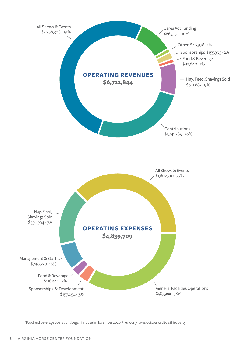

\*Food and beverage operations began inhouse in November 2020. Previously it was outsourced to a third party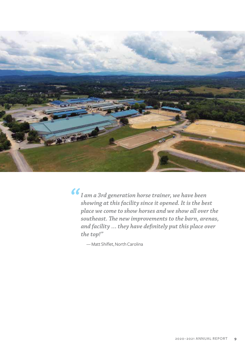

*I am a 3rd generation horse trainer, we have been showing at this facility since it opened. It is the best place we come to show horses and we show all over the southeast. The new improvements to the barn, arenas, and facility … they have definitely put this place over the top!"* 

— Matt Shiflet, North Carolina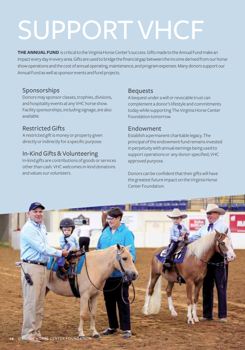# SUPPORT VHCF

**THE ANNUAL FUND** is critical to the Virginia Horse Center's success. Gifts made to the Annual Fund make an impact every day in every area. Gifts are used to bridge the financial gap between the income derived from our horse show operations and the cost of annual operating, maintenance, and program expenses. Many donors support our Annual Fund as well as sponsor events and fund projects.

#### Sponsorships

Donors may sponsor classes, trophies, divisions, and hospitality events at any VHC horse show. Facility sponsorships, including signage, are also available.

#### Restricted Gifts

A restricted gift is money or property given directly or indirectly for a specific purpose.

#### In-KindGifts&Volunteering

In-kind gifts are contributions of goods or services other than cash. VHC welcomes in-kind donations and values our volunteers.

#### Bequests

A bequest under a will or revocable trust can complement a donor's lifestyle and commitments today while supporting The Virginia Horse Center Foundation tomorrow.

#### Endowment

Establish a permanent charitable legacy. The principal of the endowment fund remains invested in perpetuity with annual earnings being used to support operations or any donor-specified, VHC approved purpose.

Donors can be confident that their gifts will have the greatest future impact on the Virginia Horse Center Foundation.

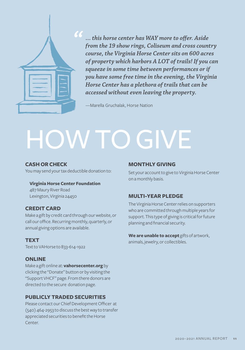

*… this horse center has WAY more to offer. Aside from the 19 show rings, Coliseum and cross country course, the Virginia Horse Center sits on 600 acres of property which harbors A LOT of trails! If you can squeeze in some time between performances or if you have some free time in the evening, the Virginia Horse Center has a plethora of trails that can be accessed without even leaving the property.*

—Marella Gruchalak, Horse Nation

# **HOW TO GIVE**

#### **CASH OR CHECK**

You may send your tax deductible donation to:

#### **Virginia Horse Center Foundation** 487 Maury River Road

Lexington, Virginia 24450

#### **CREDIT CARD**

Make a gift by credit card through our website, or call our office. Recurring monthly, quarterly, or annual giving options are available.

#### **TEXT**

Text to VAHorse to 833-614-1922

#### **ONLINE**

Make a gift online at: **vahorsecenter.org** by clicking the "Donate" button or by visiting the "Support VHCF" page. From there donors are directed to the secure donation page.

#### **PUBLICLY TRADED SECURITIES**

Please contact our Chief Development Officer at (540) 464-2953 to discuss the best way to transfer appreciated securities to benefit the Horse Center.

#### **MONTHLY GIVING**

Set your account to give to Virginia Horse Center on a monthly basis.

#### **MULTI-YEAR PLEDGE**

The Virginia Horse Center relies on supporters who are committed through multiple years for support. This type of giving is critical for future planning and financial security.

**We are unable to accept** gifts of artwork, animals, jewelry, or collectibles.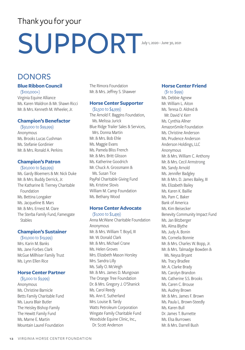# Thank you for your

# SUPPORT

July 1, 2020 - June 30, 2021

## DONORS

#### **Blue Ribbon Council**

(\$100,000+) Virginia Equine Alliance Ms. Karen Waldron & Mr. Shawn Ricci Mr. & Mrs. Kenneth M. Wheeler, Jr.

#### **Champion's Benefactor**

(\$50,000 to \$99,999) Anonymous Ms. Brooks Lucas Cushman Ms. Stefanie Gordinier Mr. & Mrs. Ronald A. Perkins

#### **Champion's Patron**

(\$20,000 to \$49,999) Ms. Gardy Bloemers & Mr. Nick Duke Mr. & Mrs. Buddy Derrick, Jr. The Katharine B. Tierney Charitable Foundation Ms. Bettina Longaker Ms. Jacqueline B. Mars Mr. & Mrs. Ernest M. Oare The Sterba Family Fund, Famesgate **Stables** 

#### **Champion's Sustainer**

(\$10,000 to \$19,999) Mrs. Karin M. Banks Ms. Jane Forbes Clark McGue Millhiser Family Trust Ms. Lynn Ellen Rice

#### **Horse Center Partner**

(\$5,000 to \$9,999) Anonymous Ms. Christine Barnicle Betts Family Charitable Fund Ms. Laura Blair Butler The Heisley Bishop Family The Hewitt Family Fund Ms. Marne E. Martin Mountain Laurel Foundation

The Rimora Foundation Mr. & Mrs. Jeffrey S. Shawver

#### **Horse Center Supporter**

(\$2,500 to \$4,999) The Arnold F. Baggins Foundation, Ms. Melissa Jurick Blue Ridge Trailer Sales & Services, Mrs. Donna Martin Mr. & Mrs. Bob Ehle Ms. Maggie Evans Ms. Pamela Bliss French Mr. & Mrs. Britt Glisson Ms. Katherine Goodrich Mr. Chuck A. Grossmann & Ms. Susan Tice PayPal Charitable Giving Fund Ms. Kristine Slovis William M. Camp Foundation Ms. Bethany Wood

#### **Horse Center Advocate**

(\$1,000 to \$2,499) Anna McWane Charitable Foundation Anonymous Mr. & Mrs. William T. Boyd, III Mr. W. Donald Clark Mr. & Mrs. Michael Crane Ms. Helen Groves Mrs. Elizabeth Mason Horsley Mrs. Sandra Lilly Ms. Sally O. McVeigh Mr. & Mrs. James D. Mungovan The Orange Tree Foundation Dr. & Mrs. Gregory J. O'Shanick Ms. Carol Reedy Ms. Ann E. Sutherland Mrs. Louise B. Tardy Watts Petroleum Corporation Wingate Family Charitable Fund Woodside Equine Clinic, Inc., Dr. Scott Anderson

#### **Horse Center Friend**

(\$1 to \$999) Ms. Debbie Agnew Mr. William L. Aiton Ms. Teresa D. Aldred & Mr. David V. Kerr Ms. Cynthia Allner AmazonSmile Foundation Ms. Christine Anderson Ms. Prudence Anderson Anderson Holdings, LLC Anonymous Mr. & Mrs. William C. Anthony Mr. & Mrs. Cecil Armstrong Ms. Sandy Arnold Ms. Jennifer Badgley Mr. & Mrs. D. James Bailey, III Ms. Elizabeth Bailey Ms. Karen K. Baillie Ms. Pam C. Baker Bank of America Ms. Kim Beisecker Benevity Community Impact Fund Ms. Jan Bitzberger Ms. Alma Blythe Ms. Judy A. Bonin Ms. Cornelia Bonnie Mr. & Mrs. Charles W. Bopp, Jr. Mr. & Mrs. Talmadge Bowden & Ms. Neysa Bryant Ms. Tracy Bradlee Mr. A. Clarke Brady Ms. Carolyn Brandon Ms. Catherine S.S. Brooks Ms. Caren C. Brouse Ms. Audrey Brown Mr. & Mrs. James F. Brown Ms. Paula L. Brown-Steedly Ms. Karen Bull Dr. James T. Burnette Ms. Elsa Burrowes Mr. & Mrs. Darrell Bush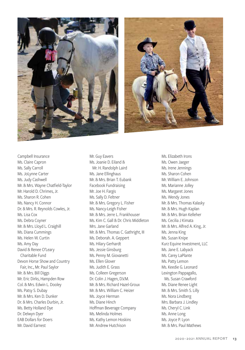



Campbell Insurance Ms. Claire Capron Ms. Sally Carroll Ms. JoLynne Carter Ms. Judy Cashwell Mr. & Mrs. Wayne Chatfield-Taylor Mr. Harold D. Chrimes, Jr. Ms. Sharon R. Cohen Ms. Nancy H. Connor Dr. & Mrs. R. Reynolds Cowles, Jr. Ms. Lisa Cox Ms. Debra Coyner Mr. & Mrs. Lloyd L. Craighill Ms. Diana Cummings Ms. Helen W. Curtin Ms. Amy Day David & Renee O'Leary Charitable Fund Devon Horse Show and Country Fair, Inc., Mr. Paul Saylor Mr. & Mrs. Bill Diggs Mr. Eric Dirks, Hampden Row Col. & Mrs. Edwin L. Dooley Ms. Patsy S. Dubay Mr. & Mrs. Ken D. Dunker Dr. & Mrs. Charles Durbin, Jr. Ms. Betty Holland Dye Dr. Delwyn Dyer EAB Dollars for Doers Mr. David Earnest

Mr. Guy Eavers Ms. Joanie D. Eiland & Mr. H. Randolph Laird Ms. Jane Ellinghaus Mr. & Mrs. Brian T. Eubank Facebook Fundraising Mr. Joe H. Fargis Ms. Sally D. Feltner Mr. & Mrs. Gregory L. Fisher Ms. Nancy-Leigh Fisher Mr. & Mrs. Jerre L. Frankhouser Ms. Kim C. Gall & Dr. Chris Middleton Mrs. Jane Garland Mr. & Mrs. Thomas C. Gathright, III Ms. Deborah. A. Geppert Ms. Hilary Gerhardt Ms. Jessie Ginsburg Ms. Penny M. Giovanetti Ms. Ellen Glover Ms. Judith E. Grass Ms. Colleen Gregerson Dr. Colin J. Hagen, D.V.M. Mr. & Mrs. Richard Hazel-Groux Mr. & Mrs. William C. Heizer Ms. Joyce Herman Ms. Diane Hinch Hoffman Beverage Company Ms. Melinda Holmes Ms. Kathy Lemon Hoskins Mr. Andrew Hutchison

Ms. Elizabeth Irons Ms. Owen Jaeger Ms. Irene Jennings Ms. Sharon Cohen Mr. William E. Johnson Ms. Marianne Jolley Ms. Margaret Jones Ms. Wendy Jones Mr. & Mrs. Thomas Kalasky Mr. & Mrs. Hugh Kaplan Mr. & Mrs. Brian Kelleher Ms. Cecilia J Kimata Mr. & Mrs. Alfred A. King, Jr. Ms. Jenna King Ms. Susan Knipe Kurz Equine Investment, LLC Ms. Jane E. Labyack Ms. Carey LaPlante Ms. Patty Lemon Ms. Keedie G. Leonard Lexington Pappagallo, Ms. Susan Crawford Ms. Diane Renee Light Mr. & Mrs. Smith S. Lilly Ms. Nora Lindberg Mrs. Barbara J. Lindley Ms. Cheryl C. Link Ms. Anne Long Ms. Joyce P. Lyon Mr. & Mrs. Paul Mathews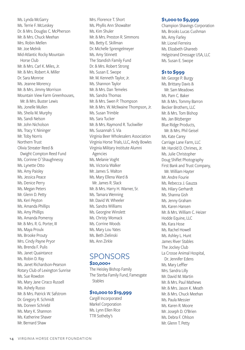Ms. Lynda McGarry Ms. Terrie F. McLeskey Dr. & Mrs. Douglas C. McPherson Mr. & Mrs. Chuck Meehan Mrs. Robin Mellen Mr. Joe Melnik Mid-Atlantic Rocky Mountain Horse Club Mr. & Mrs. Carl K. Miles, Jr. Mr. & Mrs. Robert A. Miller Dr. Sara Monroe Ms. Jeanne Morency Mr. & Mrs. Jimmy Morrison Mountain View Farm Greenhouses, Mr. & Mrs. Buster Lewis Ms. Jonelle Mullen Ms. Sheila M. Murphy Ms. Sandi Nelson Mr. John Nicholson Ms. Tracy Y. Nininger Mr. Toby Norris Northern Trust Olivia Streater Reed & Dwight Compton Reed Fund Ms. Corinne O`Shaughnessy Ms. Lynette Otto Ms. Amy Paisley Ms. Jessica Peace Ms. Denice Perry Ms. Megan Peters Mr. Glenn D. Petty Ms. Keri Peyton Ms. Amanda Phillips Ms. Amy Phillips Ms. Amanda Pomeroy Mr. & Mrs. R. G. Porter, III Ms. Maya Proulx Ms. Brooke Prouty Mrs. Cindy Payne Pryor Ms. Brenda F. Pulis Ms. Janet Quaintance Ms. Robin D. Ray Ms. Janet Richardson-Pearson Rotary Club of Lexington Sunrise Ms. Sue Rowdon Ms. Mary Jane Ciraco Russell Ms. Ashely Russo Mr. & Mrs. Patrick W. Safstrom Dr. Gregory R. Schmidt Ms. Doreen Schriebl Ms. Mary K. Shannon Ms. Katherine Shaver Mr. Bernard Shaw

Mrs. Florence T. Short Ms. Phyllis Ann Showalter Ms. Kim Shuler Mr. & Mrs. Preston R. Simmons Ms. Betty E. Skillman Dr. Michelle Sprengelmeyer Ms. Amy Stinnett The Standish Family Fund Dr. & Mrs. Robert Strong Ms. Susan E. Swope Mr. M. Kenneth Taylor, Jr. Ms. Shannon Taylor Mr. & Mrs. Dan Temeles Ms. Sandra Thomas Mr. & Mrs. Swen P. Thompson Mr. & Mrs. W. McIlwaine Thompson, Jr. Ms. Susan Trimble Ms. Sara Tucker Mr. & Mrs. Raymond R. Tuckwiller Ms. Susannah S. Via Virginia Beer Wholesalers Association Virginia Horse Trials, LLC, Andy Bowles Virginia Military Institute Alumni Agencies Ms. Melanie Voght Ms. Victoria Walker Mr. James S. Walton Ms. Mary Ellena Ward & Mr. James R. Slack Mr. & Mrs. Harry H. Warner, Sr. Ms. Tamara Wenning Mr. David W. Wheeler Ms. Sandra Williams Ms. Georgine Winslett Ms. Christy Womack Ms. Corrine Woods Ms. Mary Lou Yates Ms. Beth Zielinski Ms. Ann Zirkle

# **SPONSORS**

#### **\$20,000+**

The Heisley Bishop Family The Sterba Family Fund, Famesgate Stables

#### **\$10,000 to \$19,999**

Cargill Incorporated Markel Corporation Ms. Lynn Ellen Rice TTR Sotheby's

#### **\$1,000 to \$9,999**

Champion Shavings Corporation Ms. Brooks Lucas Cushman Ms. Amy Farley Mr. Lionel Ferreira Ms. Elizabeth Ghareeb Helgstrand Dressage USA, LLC Ms. Susan E. Swope

#### **\$1 to \$999**

Mr. George P. Burgy Ms. Brittany Davis & Mr. Sam Meadows Ms. Pam C. Baker Mr. & Mrs. Tommy Barron Becker Brothers, LLC Mr. & Mrs. Tom Bishop Ms. Jan Bitzberger Blue Ridge Products, Mr. & Mrs. Phil Geisel Ms. Kate Carey Carriage Lane Farm, LLC Mr. Harold D. Chrimes, Jr. Ms. Julie Christopher Doug Shiflet Photography First Bank and Trust Company, Mr. William Hayter Mr. Andre Fourie Ms. Rebecca J. Gauzza Ms. Hilary Gerhardt Ms. Shanna Gish Ms. Jenny Graham Ms. Karen Hansen Mr. & Mrs. William C. Heizer Hodde Equine, LLC Ms. Kara Hose Ms. Rachel Howell Ms. Ashley L. Hunt James River Stables The Jockey Club La Crosse Animal Hospital, Dr. Jennifer Edens Ms. Mary Leffler Mrs. Sandra Lilly Mr. David M. Martin Mr. & Mrs. Paul Mathews Mr. & Mrs. Jason K. Meath Mr. & Mrs. Chuck Meehan Ms. Paula Messier Ms. Karen R. Moore Mr. Joseph D. O'Brien Ms. Debra F. Ohlson Mr. Glenn T. Petty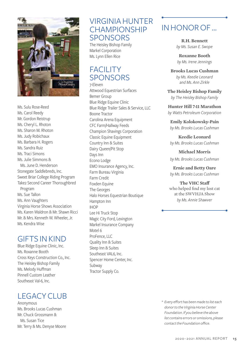

Ms. Sulu Rose-Reed Ms. Carol Reedy Mr. Gordon Reistrup Ms. Cheryl L. Rhoton Ms. Sharon M. Rhoton Ms. Judy Robichaux Ms. Barbara H. Rogers Ms. Sandra Ruiz Ms. Traci Simons Ms. Julie Simmons & Ms. June D. Henderson Stonegate Saddlebreds, Inc. Sweet Briar College Riding Program Take2 Second Career Thoroughbred Program Ms. Sue Tallon Ms. Ann Vaughters Virginia Horse Shows Association Ms. Karen Waldron & Mr. Shawn Ricci Mr. & Mrs. Kenneth W. Wheeler, Jr. Ms. Kendra Wise

### GIFTS IN KIND

Blue Ridge Equine Clinic, Inc. Ms. Roxanne Booth Cross Keys Construction Co., Inc. The Heisley Bishop Family Ms. Melody Huffman Pinnell Custom Leather Southeast Val-6, Inc.

## LEGACY CLUB

Anonymous Ms. Brooks Lucas Cushman Mr. Chuck Grossmann & Ms. Susan Tice Mr. Terry & Ms. Denyse Moore

### VIRGINIA HUNTER **CHAMPIONSHIP SPONSORS**

The Heisley Bishop Family Markel Corporation Ms. Lynn Ellen Rice

## FACILITY SPONSORS

7-Eleven Attwood Equestrian Surfaces Bemer Group Blue Ridge Equine Clinic Blue Ridge Trailer Sales & Service, LLC Boone Tractor Carolina Arena Equipment CFC Farm/Hallway Feeds Champion Shavings Corporation Classic Equine Equipment Country Inn & Suites Dairy Queen/Pit Stop Days Inn Econo Lodge EMO Insurance Agency, Inc. Farm Bureau Virginia Farm Credit Foxden Equine The Georges Halo Horses Equestrian Boutique Hampton Inn IHOP Lee Hi Truck Stop Magic City Ford, Lexington Markel Insurance Company Motel 6 ProFence, LLC Quality Inn & Suites Sleep Inn & Suites Southeast VAL6, Inc. Spencer Home Center, Inc. Subway Tractor Supply Co.

# IN HONOR OF …

**R.H. Bennett**  *by Ms. Susan E. Swope*

**Roxanne Booth** *by Ms. Irene Jennings*

**Brooks Lucas Cushman** *by Ms. Keedie Leonard and Ms. Ann Zirkle*

**The Heisley Bishop Family** *by The Heisley Bishop Family* 

**Hunter Hill 7-11 Marathon** *by Watts Petroleum Corporation*

**Emily Kolokowsky-Pain** *by Ms. Brooks Lucas Cushman*

**Keedie Leonard** *by Ms. Brooks Lucas Cushman*

**Michael Morris** *by Ms. Brooks Lucas Cushman*

**Ernie and Betty Oare** *by Ms. Brooks Lucas Cushman*

**The VHC Staff**  who helped find my lost cat at the SWVHJA Show *by Ms. Annie Shawver*

*\* Every effort has been made to list each donor to the Virginia Horse Center Foundation. If you believe the above list contains errors or omissions, please contact the Foundation office.*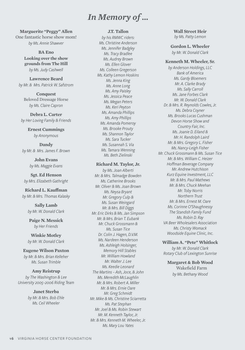# *In Memory of …*

**Marguerite "Peggy" Allen**  One fantastic horse show mom! *by Ms. Annie Shawver*

> **BA Eno Looking over the show grounds from The Hill** *by Ms. Judy Cashwell*

**Lawrence Beard** *by Mr. & Mrs. Patrick W. Safstrom*

**Conquest** Beloved Dressage Horse *by Ms. Claire Capron*

**Debra L. Carter** *by Her Loving Family & Friends*

> **Ernest Cummings** *by Anonymous*

**Dandy** *by Mr. & Mrs. James F. Brown*

> **John Evans** *by Ms. Maggie Evans*

**Sgt. Ed Henson** *by Mrs. Elizabeth Gathright*

**Richard L. Kauffman** *by Mr. & Mrs. Thomas Kalasky*

> **Sally Lamb** *by Mr. W. Donald Clark*

**Paige N. Messick** *by Her Friends*

**Winkie Motley** *by Mr. W. Donald Clark*

**Eugene Wilson Paxton** *by Mr. & Mrs. Brian Kelleher Ms. Susan Trimble*

**Amy Reistrup** *by The Washington & Lee University 2005–2006 Riding Team*

#### **Janet Sterba**

*by Mr. & Mrs. Bob Ehle Ms. Ceil Wheeler*

#### **J.T. Tallon**

*by his RMWC riders: Ms. Christine Anderson Ms. Jennifer Badgley Ms. Tracy Bradlee Ms. Audrey Brown Ms. Ellen Glover Ms. Colleen Gregerson Ms. Kathy Lemon Hoskins Ms. Jenna King Ms. Anne Long Ms. Amy Paisley Ms. Jessica Peace Ms. Megan Peters Ms. Keri Peyton Ms. Amanda Phillips Ms. Amy Phillips Ms. Amanda Pomeroy Ms. Brooke Prouty Ms. Shannon Taylor Ms. Sara Tucker Ms. Susannah S. Via Ms. Tamara Wenning Ms. Beth Zielinski*

#### **Richard M. Taylor, Jr.**

*by Ms. Joan Alberti Mr. & Mrs. Talmadge Bowden Ms. Catherine Brooks Mr. Oliver & Ms. Joan Brown Ms. Neysa Bryant Mr. Gregory Culp & Ms. Susan Weingard Mr. & Mrs. Bill Diggs Mr. Eric Dirks & Ms. Jan Simpson Mr. & Mrs. Brian T. Eubank Mr. Chuck Grossmann & Ms. Susan Tice Dr. Colin J. Hagen, D.V.M. Ms. Nardeen Henderson Ms. Ashleigh Holsinger, Memory Hill Stables Mr. William Howland Mr. Walter J. Lee Ms. Keedie Leonard The Martins – Ash, Joce, & John Ms. Meredith McLaughlin Mr. & Mrs. Robert A. Miller Mr. & Mrs. Ernie Oare Mr. Greg Schmidt Mr. Mike & Ms. Christine Sciarretta Ms. Pat Stephan Mr. Joel & Ms. Robin Stewart Mr. M. Kenneth Taylor, Jr. Mr. & Mrs. Kenneth M. Wheeler, Jr. Ms. Mary Lou Yates*

**Wall Street Heir** *by Ms. Patty Lemon*

**Gordon L. Wheeler** *by Mr. W. Donald Clark* 

#### **Kenneth M. Wheeler, Sr.**

*by Anderson Holdings, LLC Bank of America Ms. Gardy Bloemers Mr. A. Clarke Brady Ms. Sally Carroll Ms. Jane Forbes Clark Mr. W. Donald Clark Dr. & Mrs. R. Reynolds Cowles, Jr. Ms. Debra Coyner Ms. Brooks Lucas Cushman Devon Horse Show and Country Fair, Inc. Ms. Joanie D. Eiland & Mr. H. Randolph Laird Mr. & Mrs. Gregory L. Fisher Ms. Nancy-Leigh Fisher Mr. Chuck Grossmann & Ms. Susan Tice Mr. & Mrs. William C. Heizer Hoffman Beverage Company Mr. Andrew Hutchison Kurz Equine Investment, LLC Mr. & Mrs. Paul Mathews Mr. & Mrs. Chuck Meehan Mr. Toby Norris Northern Trust Mr. & Mrs. Ernest M. Oare Ms. Corinne O'Shaughnessy The Standish Family Fund Ms. Robin D. Ray VA Beer Wholesalers Association Ms. Christy Womack Woodside Equine Clinic, Inc.*

**William A. "Pete" Whitlock**

*by Mr. W. Donald Clark Rotary Club of Lexington Sunrise*

**Margaret & Bob Wood**  Wakefield Farm *by Ms. Bethany Wood*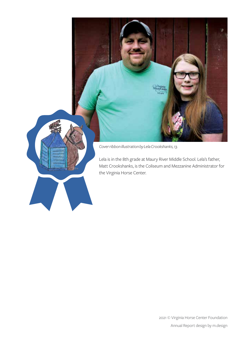

Lela is in the 8th grade at Maury River Middle School. Lela's father, Matt Crookshanks, is the Coliseum and Mezzanine Administrator for the Virginia Horse Center.